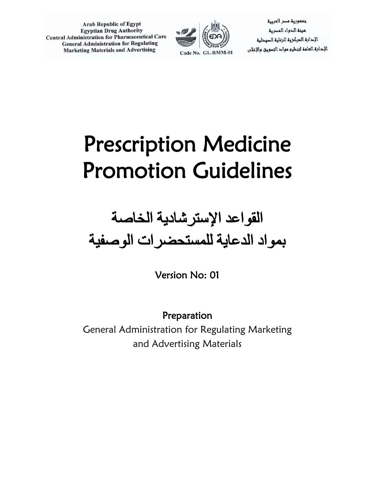

جممورية مسر العربية مينة الدواء المصرية الإحارة المركزية للرعاية السيدلية الإدارة العامة لتنظيم مواد التسويق والإغلان

# Prescription Medicine Promotion Guidelines

## القواعد الإسترشادیة الخاصة بمواد الدعایة للمستحضرات الوصفیة

Version No: 01

Preparation General Administration for Regulating Marketing and Advertising Materials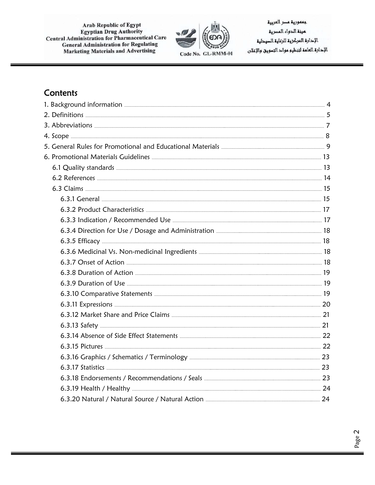

جممورية مسر العربية عينة الدواء المسرية الإحارة المركزية للرعاية السيحلية الإحارة العامة لتنطيو مواح التسويق والإعلان

## **Contents**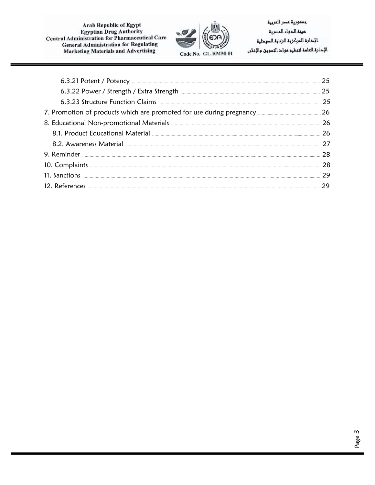

جممورية مسر العربية عينة الدواء المسرية الإحارة المركزية للرعاية السيحلية الإحارة العامة لتنظيم مواح التسويق والإعلان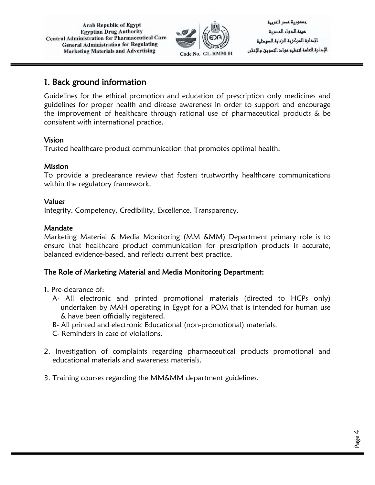

جعمورية عصر العربية لمرنة الدواء المصرية الإدارة المركز وق للرعاوة الصودلية الإحارة العامة لتنظيم مواح التسويق والإعلان

## 1. Back ground information

Guidelines for the ethical promotion and education of prescription only medicines and guidelines for proper health and disease awareness in order to support and encourage the improvement of healthcare through rational use of pharmaceutical products & be consistent with international practice.

#### Vision

Trusted healthcare product communication that promotes optimal health.

#### Mission

To provide a preclearance review that fosters trustworthy healthcare communications within the regulatory framework.

#### Values

Integrity, Competency, Credibility, Excellence, Transparency.

#### Mandate

Marketing Material & Media Monitoring (MM &MM) Department primary role is to ensure that healthcare product communication for prescription products is accurate, balanced evidence-based, and reflects current best practice.

#### The Role of Marketing Material and Media Monitoring Department:

- 1. Pre-clearance of:
	- A- All electronic and printed promotional materials (directed to HCPs only) undertaken by MAH operating in Egypt for a POM that is intended for human use & have been officially registered.
	- B- All printed and electronic Educational (non-promotional) materials.
	- C- Reminders in case of violations.
- 2. Investigation of complaints regarding pharmaceutical products promotional and educational materials and awareness materials.
- 3. Training courses regarding the MM&MM department guidelines.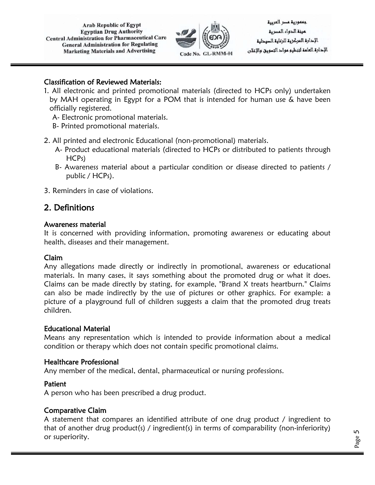

جعمورية عصر العربية لمرنة الدواء المصرية الإدارة المركز وق للرعاوة الصودلية الإحارة العامة لتنظيم مواح التسويق والإغلان

#### Classification of Reviewed Materials:

- 1. All electronic and printed promotional materials (directed to HCPs only) undertaken by MAH operating in Egypt for a POM that is intended for human use & have been officially registered.
	- A- Electronic promotional materials.
	- B- Printed promotional materials.
- 2. All printed and electronic Educational (non-promotional) materials.
	- A- Product educational materials (directed to HCPs or distributed to patients through HCPs)
	- B- Awareness material about a particular condition or disease directed to patients / public / HCPs).
- 3. Reminders in case of violations.

## 2. Definitions

#### Awareness material

It is concerned with providing information, promoting awareness or educating about health, diseases and their management.

#### Claim

Any allegations made directly or indirectly in promotional, awareness or educational materials. In many cases, it says something about the promoted drug or what it does. Claims can be made directly by stating, for example, "Brand X treats heartburn." Claims can also be made indirectly by the use of pictures or other graphics. For example: a picture of a playground full of children suggests a claim that the promoted drug treats children.

#### Educational Material

Means any representation which is intended to provide information about a medical condition or therapy which does not contain specific promotional claims.

#### Healthcare Professional

Any member of the medical, dental, pharmaceutical or nursing professions.

#### Patient

A person who has been prescribed a drug product.

#### Comparative Claim

A statement that compares an identified attribute of one drug product / ingredient to that of another drug product(s) / ingredient(s) in terms of comparability (non-inferiority) or superiority.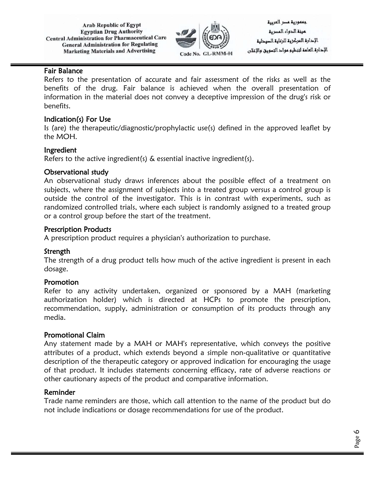

جممورية مسر العربية مينة الدواء المصرية الإدارة المركز وق للرعاوة الصودلية الإحارة العامة لتنظيم مواح التسويق والإعلان

#### Fair Balance

Refers to the presentation of accurate and fair assessment of the risks as well as the benefits of the drug. Fair balance is achieved when the overall presentation of information in the material does not convey a deceptive impression of the drug's risk or benefits.

#### Indication(s) For Use

Is (are) the therapeutic/diagnostic/prophylactic use(s) defined in the approved leaflet by the MOH.

#### Ingredient

Refers to the active ingredient(s) & essential inactive ingredient(s).

#### Observational study

An observational study draws inferences about the possible effect of a treatment on subjects, where the assignment of subjects into a treated group versus a control group is outside the control of the investigator. This is in contrast with experiments, such as randomized controlled trials, where each subject is randomly assigned to a treated group or a control group before the start of the treatment.

#### Prescription Products

A prescription product requires a physician's authorization to purchase.

#### Strength

The strength of a drug product tells how much of the active ingredient is present in each dosage.

#### Promotion

Refer to any activity undertaken, organized or sponsored by a MAH (marketing authorization holder) which is directed at HCPs to promote the prescription, recommendation, supply, administration or consumption of its products through any media.

#### Promotional Claim

Any statement made by a MAH or MAH's representative, which conveys the positive attributes of a product, which extends beyond a simple non-qualitative or quantitative description of the therapeutic category or approved indication for encouraging the usage of that product. It includes statements concerning efficacy, rate of adverse reactions or other cautionary aspects of the product and comparative information.

#### Reminder

Trade name reminders are those, which call attention to the name of the product but do not include indications or dosage recommendations for use of the product.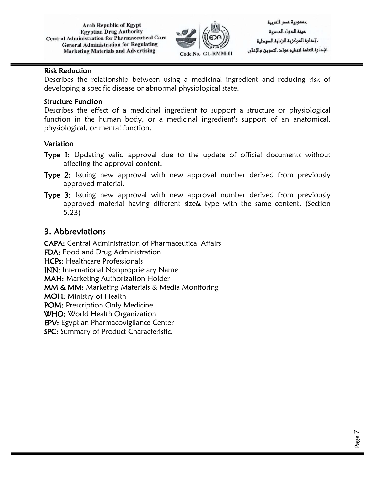

جعمورية عصر العربية لمرنة الدواء المصرية الإدارة المركز وق للرعاوة الصودلية الإحارة العامة لتنظيم مواح التسويق والإعلان

#### Risk Reduction

Describes the relationship between using a medicinal ingredient and reducing risk of developing a specific disease or abnormal physiological state.

#### Structure Function

Describes the effect of a medicinal ingredient to support a structure or physiological function in the human body, or a medicinal ingredient's support of an anatomical, physiological, or mental function.

#### Variation

- Type 1: Updating valid approval due to the update of official documents without affecting the approval content.
- Type 2: Issuing new approval with new approval number derived from previously approved material.
- Type 3: Issuing new approval with new approval number derived from previously approved material having different size& type with the same content. (Section 5.23)

## 3. Abbreviations

CAPA: Central Administration of Pharmaceutical Affairs FDA: Food and Drug Administration HCPs: Healthcare Professionals INN: International Nonproprietary Name MAH: Marketing Authorization Holder MM & MM: Marketing Materials & Media Monitoring MOH: Ministry of Health POM: Prescription Only Medicine WHO: World Health Organization EPV: Egyptian Pharmacovigilance Center SPC: Summary of Product Characteristic.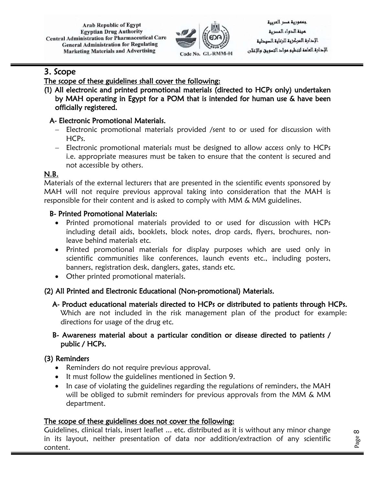

جعمورية عصر العربية مينة الدواء المصرية الإدارة المركز وق للرعاوة الصودلية الإحارة العامة لتنظيم مواح التسويق والإعلان

## 3. Scope

## The scope of these guidelines shall cover the following:

(1) All electronic and printed promotional materials (directed to HCPs only) undertaken by MAH operating in Egypt for a POM that is intended for human use & have been officially registered.

## A- Electronic Promotional Materials.

- − Electronic promotional materials provided /sent to or used for discussion with HCPs.
- − Electronic promotional materials must be designed to allow access only to HCPs i.e. appropriate measures must be taken to ensure that the content is secured and not accessible by others.

#### N.B.

Materials of the external lecturers that are presented in the scientific events sponsored by MAH will not require previous approval taking into consideration that the MAH is responsible for their content and is asked to comply with MM & MM guidelines.

#### B- Printed Promotional Materials:

- Printed promotional materials provided to or used for discussion with HCPs including detail aids, booklets, block notes, drop cards, flyers, brochures, nonleave behind materials etc.
- Printed promotional materials for display purposes which are used only in scientific communities like conferences, launch events etc., including posters, banners, registration desk, danglers, gates, stands etc.
- Other printed promotional materials.

## (2) All Printed and Electronic Educational (Non-promotional) Materials.

A- Product educational materials directed to HCPs or distributed to patients through HCPs. Which are not included in the risk management plan of the product for example: directions for usage of the drug etc.

#### B- Awareness material about a particular condition or disease directed to patients / public / HCPs.

## (3) Reminders

- Reminders do not require previous approval.
- It must follow the guidelines mentioned in Section 9.
- In case of violating the guidelines regarding the regulations of reminders, the MAH will be obliged to submit reminders for previous approvals from the MM & MM department.

#### The scope of these guidelines does not cover the following:

Guidelines, clinical trials, insert leaflet ... etc. distributed as it is without any minor change in its layout, neither presentation of data nor addition/extraction of any scientific content.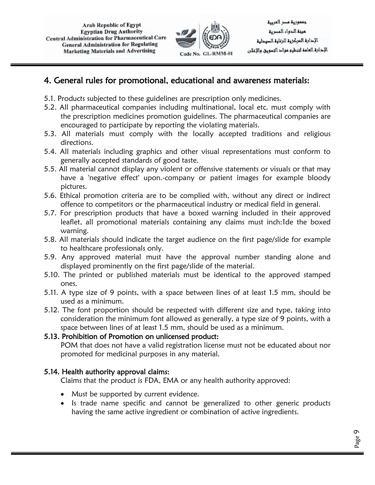

جعمورية عصر العربية لمينة الدواء المصرية الإدارة المركز وق للرعاوة الصودلية الإحارة العامة لتنظيم مواح التسويق والإعلان

## 4. General rules for promotional, educational and awareness materials:

- 5.1. Products subjected to these guidelines are prescription only medicines.
- 5.2. All pharmaceutical companies including multinational, local etc. must comply with the prescription medicines promotion guidelines. The pharmaceutical companies are encouraged to participate by reporting the violating materials.
- 5.3. All materials must comply with the locally accepted traditions and religious directions.
- 5.4. All materials including graphics and other visual representations must conform to generally accepted standards of good taste.
- 5.5. All material cannot display any violent or offensive statements or visuals or that may have a 'negative effect' upon.-company or patient images for example bloody pictures.
- 5.6. Ethical promotion criteria are to be complied with, without any direct or indirect offence to competitors or the pharmaceutical industry or medical field in general.
- 5.7. For prescription products that have a boxed warning included in their approved leaflet, all promotional materials containing any claims must inch:1de the boxed warning.
- 5.8. All materials should indicate the target audience on the first page/slide for example to healthcare professionals only.
- 5.9. Any approved material must have the approval number standing alone and displayed prominently on the first page/slide of the material.
- 5.10. The printed or published materials must be identical to the approved stamped ones.
- 5.11. A type size of 9 points, with a space between lines of at least 1.5 mm, should be used as a minimum.
- 5.12. The font proportion should be respected with different size and type, taking into consideration the minimum font allowed as generally, a type size of 9 points, with a space between lines of at least 1.5 mm, should be used as a minimum.

#### 5.13. Prohibition of Promotion on unlicensed product:

POM that does not have a valid registration license must not be educated about nor promoted for medicinal purposes in any material.

## 5.14. Health authority approval claims:

Claims that the product is FDA, EMA or any health authority approved:

- Must be supported by current evidence.
- Is trade name specific and cannot be generalized to other generic products having the same active ingredient or combination of active ingredients.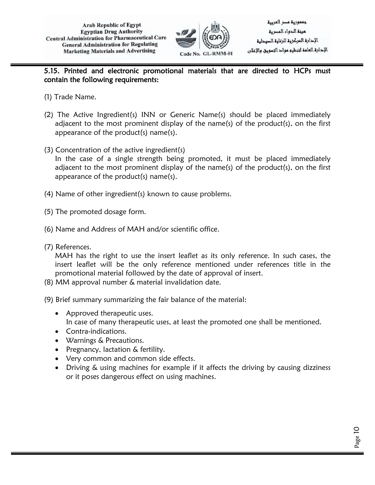

Page 10

#### 5.15. Printed and electronic promotional materials that are directed to HCPs must contain the following requirements:

- (1) Trade Name.
- (2) The Active Ingredient(s) INN or Generic Name(s) should be placed immediately adjacent to the most prominent display of the name(s) of the product(s), on the first appearance of the product(s) name(s).
- (3) Concentration of the active ingredient(s) In the case of a single strength being promoted, it must be placed immediately adjacent to the most prominent display of the name(s) of the product(s), on the first appearance of the product(s) name(s).
- (4) Name of other ingredient(s) known to cause problems.
- (5) The promoted dosage form.
- (6) Name and Address of MAH and/or scientific office.
- (7) References.

MAH has the right to use the insert leaflet as its only reference. In such cases, the insert leaflet will be the only reference mentioned under references title in the promotional material followed by the date of approval of insert.

- (8) MM approval number & material invalidation date.
- (9) Brief summary summarizing the fair balance of the material:
	- Approved therapeutic uses. In case of many therapeutic uses, at least the promoted one shall be mentioned.
	- Contra-indications.
	- Warnings & Precautions.
	- Pregnancy, lactation & fertility.
	- Very common and common side effects.
	- Driving & using machines for example if it affects the driving by causing dizziness or it poses dangerous effect on using machines.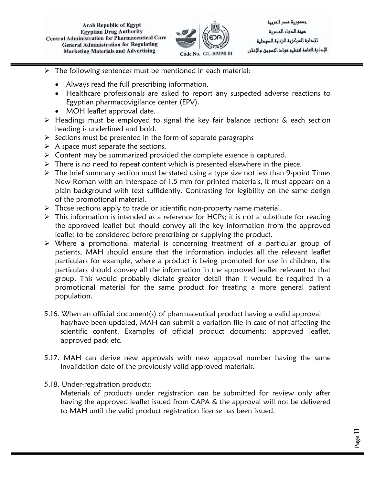

- $\triangleright$  The following sentences must be mentioned in each material:
	- Always read the full prescribing information.
	- Healthcare professionals are asked to report any suspected adverse reactions to Egyptian pharmacovigilance center (EPV).
	- MOH leaflet approval date.
- $\triangleright$  Headings must be employed to signal the key fair balance sections & each section heading is underlined and bold.
- $\triangleright$  Sections must be presented in the form of separate paragraphs
- $\triangleright$  A space must separate the sections.
- $\triangleright$  Content may be summarized provided the complete essence is captured.
- $\triangleright$  There is no need to repeat content which is presented elsewhere in the piece.
- $\triangleright$  The brief summary section must be stated using a type size not less than 9-point Times New Roman with an interspace of 1.5 mm for printed materials, it must appears on a plain background with text sufficiently. Contrasting for legibility on the same design of the promotional material.
- $\triangleright$  Those sections apply to trade or scientific non-property name material.
- $\triangleright$  This information is intended as a reference for HCPs; it is not a substitute for reading the approved leaflet but should convey all the key information from the approved leaflet to be considered before prescribing or supplying the product.
- Where a promotional material is concerning treatment of a particular group of patients, MAH should ensure that the information includes all the relevant leaflet particulars for example, where a product is being promoted for use in children, the particulars should convey all the information in the approved leaflet relevant to that group. This would probably dictate greater detail than it would be required in a promotional material for the same product for treating a more general patient population.
- 5.16. When an official document(s) of pharmaceutical product having a valid approval has/have been updated, MAH can submit a variation file in case of not affecting the scientific content. Examples of official product documents: approved leaflet, approved pack etc.
- 5.17. MAH can derive new approvals with new approval number having the same invalidation date of the previously valid approved materials.
- 5.18. Under-registration products:

Materials of products under registration can be submitted for review only after having the approved leaflet issued from CAPA & the approval will not be delivered to MAH until the valid product registration license has been issued.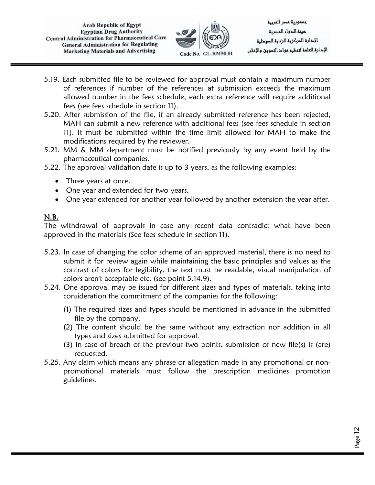

جعمورية عصر العربية لمينة الدواء المصرية الإحارة المركزية للرعاية الصيدلية الإحارة العامة لتنظيم مواح التسويق والإعلان

- 5.19. Each submitted file to be reviewed for approval must contain a maximum number of references if number of the references at submission exceeds the maximum allowed number in the fees schedule, each extra reference will require additional fees (see fees schedule in section 11).
- 5.20. After submission of the file, if an already submitted reference has been rejected, MAH can submit a new reference with additional fees (see fees schedule in section 11). It must be submitted within the time limit allowed for MAH to make the modifications required by the reviewer.
- 5.21. MM & MM department must be notified previously by any event held by the pharmaceutical companies.
- 5.22. The approval validation date is up to 3 years, as the following examples:
	- Three years at once.
	- One year and extended for two years.
	- One year extended for another year followed by another extension the year after.

## N.B.

The withdrawal of approvals in case any recent data contradict what have been approved in the materials (See fees schedule in section 11).

- 5.23. In case of changing the color scheme of an approved material, there is no need to submit it for review again while maintaining the basic principles and values as the contrast of colors for legibility, the text must be readable, visual manipulation of colors aren't acceptable etc. (see point 5.14.9).
- 5.24. One approval may be issued for different sizes and types of materials, taking into consideration the commitment of the companies for the following:
	- (1) The required sizes and types should be mentioned in advance in the submitted file by the company.
	- (2) The content should be the same without any extraction nor addition in all types and sizes submitted for approval.
	- (3) In case of breach of the previous two points, submission of new file(s) is (are) requested.
- 5.25. Any claim which means any phrase or allegation made in any promotional or nonpromotional materials must follow the prescription medicines promotion guidelines.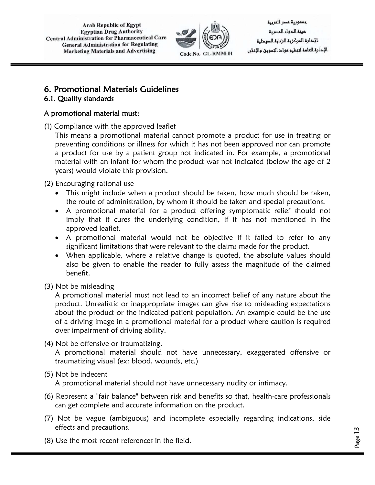

جعمورية عصر العربية مينة الدواء المصرية الإدارة المركز وق للرعاوة الصودلية الإحارة العامة لتنظيم مواح التسويق والإعلان

Page 13

#### 6. Promotional Materials Guidelines 6.1. Quality standards

## A promotional material must:

(1) Compliance with the approved leaflet

This means a promotional material cannot promote a product for use in treating or preventing conditions or illness for which it has not been approved nor can promote a product for use by a patient group not indicated in. For example, a promotional material with an infant for whom the product was not indicated (below the age of 2 years) would violate this provision.

(2) Encouraging rational use

- This might include when a product should be taken, how much should be taken, the route of administration, by whom it should be taken and special precautions.
- A promotional material for a product offering symptomatic relief should not imply that it cures the underlying condition, if it has not mentioned in the approved leaflet.
- A promotional material would not be objective if it failed to refer to any significant limitations that were relevant to the claims made for the product.
- When applicable, where a relative change is quoted, the absolute values should also be given to enable the reader to fully assess the magnitude of the claimed benefit.

(3) Not be misleading

A promotional material must not lead to an incorrect belief of any nature about the product. Unrealistic or inappropriate images can give rise to misleading expectations about the product or the indicated patient population. An example could be the use of a driving image in a promotional material for a product where caution is required over impairment of driving ability.

(4) Not be offensive or traumatizing.

A promotional material should not have unnecessary, exaggerated offensive or traumatizing visual (ex: blood, wounds, etc.)

#### (5) Not be indecent

A promotional material should not have unnecessary nudity or intimacy.

- (6) Represent a "fair balance" between risk and benefits so that, health-care professionals can get complete and accurate information on the product.
- (7) Not be vague (ambiguous) and incomplete especially regarding indications, side effects and precautions.
- (8) Use the most recent references in the field.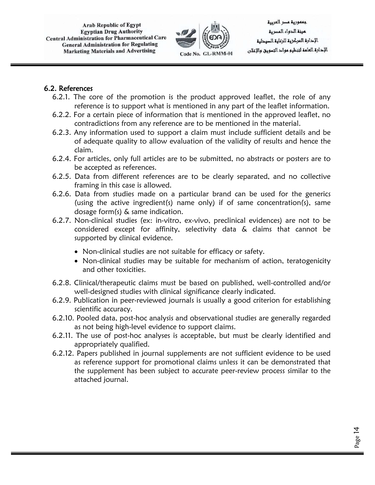

جعمورية عصر العربية عينة الدواء المصرية الإحارة المركزية للرعاية الصيدلية الإحارة العامة لتنظيم مواح التسويق والإغلان

Page 14

#### 6.2. References

- 6.2.1. The core of the promotion is the product approved leaflet, the role of any reference is to support what is mentioned in any part of the leaflet information.
- 6.2.2. For a certain piece of information that is mentioned in the approved leaflet, no contradictions from any reference are to be mentioned in the material.
- 6.2.3. Any information used to support a claim must include sufficient details and be of adequate quality to allow evaluation of the validity of results and hence the claim.
- 6.2.4. For articles, only full articles are to be submitted, no abstracts or posters are to be accepted as references.
- 6.2.5. Data from different references are to be clearly separated, and no collective framing in this case is allowed.
- 6.2.6. Data from studies made on a particular brand can be used for the generics (using the active ingredient(s) name only) if of same concentration(s), same dosage form(s) & same indication.
- 6.2.7. Non-clinical studies (ex: in-vitro, ex-vivo, preclinical evidences) are not to be considered except for affinity, selectivity data & claims that cannot be supported by clinical evidence.
	- Non-clinical studies are not suitable for efficacy or safety.
	- Non-clinical studies may be suitable for mechanism of action, teratogenicity and other toxicities.
- 6.2.8. Clinical/therapeutic claims must be based on published, well-controlled and/or well-designed studies with clinical significance clearly indicated.
- 6.2.9. Publication in peer-reviewed journals is usually a good criterion for establishing scientific accuracy.
- 6.2.10. Pooled data, post-hoc analysis and observational studies are generally regarded as not being high-level evidence to support claims.
- 6.2.11. The use of post-hoc analyses is acceptable, but must be clearly identified and appropriately qualified.
- 6.2.12. Papers published in journal supplements are not sufficient evidence to be used as reference support for promotional claims unless it can be demonstrated that the supplement has been subject to accurate peer-review process similar to the attached journal.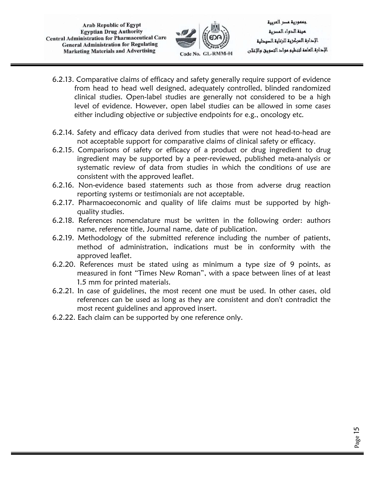

جعمورية عصر العربية عينة الدواء المصرية الإحارة المركزية للرعاية الصيحلية الإحارة العامة لتنظيم مواح التسويق والإغلان

- 6.2.13. Comparative claims of efficacy and safety generally require support of evidence from head to head well designed, adequately controlled, blinded randomized clinical studies. Open-label studies are generally not considered to be a high level of evidence. However, open label studies can be allowed in some cases either including objective or subjective endpoints for e.g., oncology etc.
- 6.2.14. Safety and efficacy data derived from studies that were not head-to-head are not acceptable support for comparative claims of clinical safety or efficacy.
- 6.2.15. Comparisons of safety or efficacy of a product or drug ingredient to drug ingredient may be supported by a peer-reviewed, published meta-analysis or systematic review of data from studies in which the conditions of use are consistent with the approved leaflet.
- 6.2.16. Non-evidence based statements such as those from adverse drug reaction reporting systems or testimonials are not acceptable.
- 6.2.17. Pharmacoeconomic and quality of life claims must be supported by highquality studies.
- 6.2.18. References nomenclature must be written in the following order: authors name, reference title, Journal name, date of publication.
- 6.2.19. Methodology of the submitted reference including the number of patients, method of administration, indications must be in conformity with the approved leaflet.
- 6.2.20. References must be stated using as minimum a type size of 9 points, as measured in font "Times New Roman", with a space between lines of at least 1.5 mm for printed materials.
- 6.2.21. In case of guidelines, the most recent one must be used. In other cases, old references can be used as long as they are consistent and don't contradict the most recent guidelines and approved insert.
- 6.2.22. Each claim can be supported by one reference only.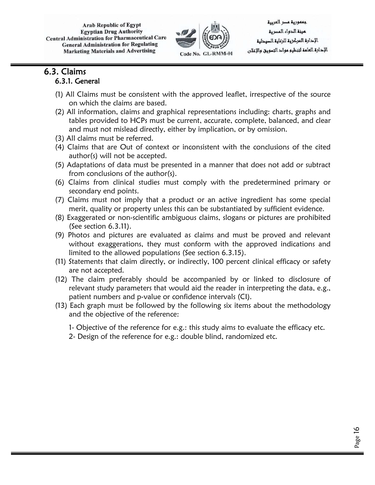

جممورية مسر العربية مينة الدواء المصرية الإدارة المركز وق للرعاوة الصودلية الإحارة العامة لتنظيم مواح التسويق والإعلان

## 6.3. Claims 6.3.1. General

- (1) All Claims must be consistent with the approved leaflet, irrespective of the source on which the claims are based.
- (2) All information, claims and graphical representations including: charts, graphs and tables provided to HCPs must be current, accurate, complete, balanced, and clear and must not mislead directly, either by implication, or by omission.
- (3) All claims must be referred.
- (4) Claims that are Out of context or inconsistent with the conclusions of the cited author(s) will not be accepted.
- (5) Adaptations of data must be presented in a manner that does not add or subtract from conclusions of the author(s).
- (6) Claims from clinical studies must comply with the predetermined primary or secondary end points.
- (7) Claims must not imply that a product or an active ingredient has some special merit, quality or property unless this can be substantiated by sufficient evidence.
- (8) Exaggerated or non-scientific ambiguous claims, slogans or pictures are prohibited (See section 6.3.11).
- (9) Photos and pictures are evaluated as claims and must be proved and relevant without exaggerations, they must conform with the approved indications and limited to the allowed populations (See section 6.3.15).
- (11) Statements that claim directly, or indirectly, 100 percent clinical efficacy or safety are not accepted.
- (12) The claim preferably should be accompanied by or linked to disclosure of relevant study parameters that would aid the reader in interpreting the data, e.g., patient numbers and p-value or confidence intervals (CI).
- (13) Each graph must be followed by the following six items about the methodology and the objective of the reference:
	- 1- Objective of the reference for e.g.: this study aims to evaluate the efficacy etc.
	- 2- Design of the reference for e.g.: double blind, randomized etc.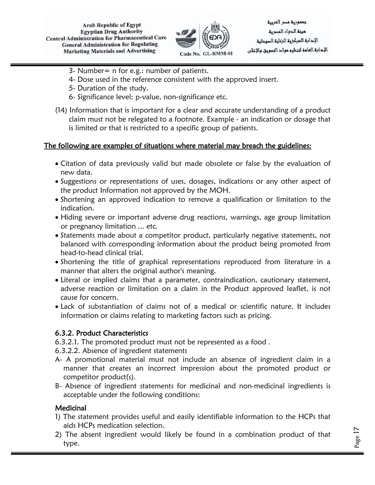

جممورية مسر العربية عينة الدواء المصرية الإدارة المركز وق للرعاوة الصودلية الإحارة العامة لتنظيم مواح التسويق والإعلان

Page 17

- 3- Number= n for e.g.: number of patients.
- 4- Dose used in the reference consistent with the approved insert.
- 5- Duration of the study.
- 6- Significance level: p-value, non-significance etc.
- (14) Information that is important for a clear and accurate understanding of a product claim must not be relegated to a footnote. Example - an indication or dosage that is limited or that is restricted to a specific group of patients.

#### The following are examples of situations where material may breach the guidelines:

- Citation of data previously valid but made obsolete or false by the evaluation of new data.
- Suggestions or representations of uses, dosages, indications or any other aspect of the product Information not approved by the MOH.
- Shortening an approved indication to remove a qualification or limitation to the indication.
- Hiding severe or important adverse drug reactions, warnings, age group limitation or pregnancy limitation ... etc.
- Statements made about a competitor product, particularly negative statements, not balanced with corresponding information about the product being promoted from head-to-head clinical trial.
- Shortening the title of graphical representations reproduced from literature in a manner that alters the original author's meaning.
- Literal or implied claims that a parameter, contraindication, cautionary statement, adverse reaction or limitation on a claim in the Product approved leaflet, is not cause for concern.
- Lack of substantiation of claims not of a medical or scientific nature. It includes information or claims relating to marketing factors such as pricing.

#### 6.3.2. Product Characteristics

6.3.2.1. The promoted product must not be represented as a food .

6.3.2.2. Absence of ingredient statements

- A- A promotional material must not include an absence of ingredient claim in a manner that creates an incorrect impression about the promoted product or competitor product(s).
- B- Absence of ingredient statements for medicinal and non-medicinal ingredients is acceptable under the following conditions:

#### **Medicinal**

- 1) The statement provides useful and easily identifiable information to the HCPs that aids HCPs medication selection.
- 2) The absent ingredient would likely be found in a combination product of that type.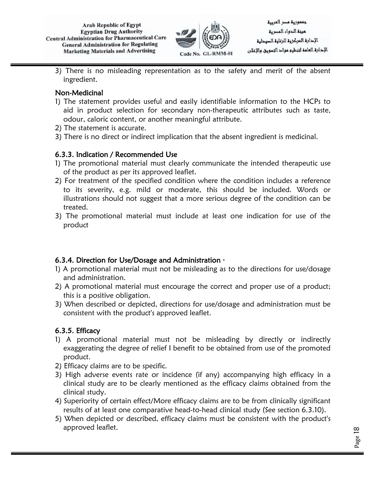

3) There is no misleading representation as to the safety and merit of the absent ingredient.

## Non-Medicinal

- 1) The statement provides useful and easily identifiable information to the HCPs to aid in product selection for secondary non-therapeutic attributes such as taste, odour, caloric content, or another meaningful attribute.
- 2) The statement is accurate.
- 3) There is no direct or indirect implication that the absent ingredient is medicinal.

#### 6.3.3. Indication / Recommended Use

- 1) The promotional material must clearly communicate the intended therapeutic use of the product as per its approved leaflet.
- 2) For treatment of the specified condition where the condition includes a reference to its severity, e.g. mild or moderate, this should be included. Words or illustrations should not suggest that a more serious degree of the condition can be treated.
- 3) The promotional material must include at least one indication for use of the product

## 6.3.4. Direction for Use/Dosage and Administration  $\cdot$

- 1) A promotional material must not be misleading as to the directions for use/dosage and administration.
- 2) A promotional material must encourage the correct and proper use of a product; this is a positive obligation.
- 3) When described or depicted, directions for use/dosage and administration must be consistent with the product's approved leaflet.

## 6.3.5. Efficacy

- 1) A promotional material must not be misleading by directly or indirectly exaggerating the degree of relief I benefit to be obtained from use of the promoted product.
- 2) Efficacy claims are to be specific.
- 3) High adverse events rate or incidence (if any) accompanying high efficacy in a clinical study are to be clearly mentioned as the efficacy claims obtained from the clinical study.
- 4) Superiority of certain effect/More efficacy claims are to be from clinically significant results of at least one comparative head-to-head clinical study (See section 6.3.10).
- 5) When depicted or described, efficacy claims must be consistent with the product's approved leaflet.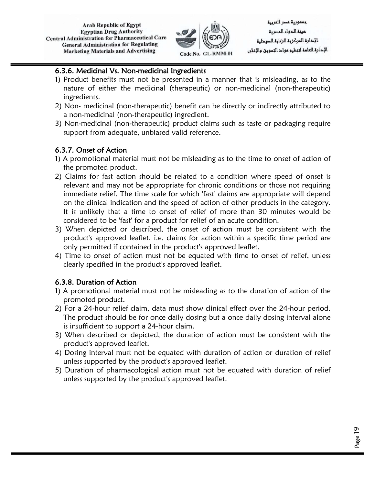

جممورية مسر العربية مينة الدواء المصرية الإدارة المركز وق للرعاوة الصودلية الإحارة العامة لتنظيم مواح التسويق والإعلان

Page 19

#### 6.3.6. Medicinal Vs. Non-medicinal Ingredients

- 1) Product benefits must not be presented in a manner that is misleading, as to the nature of either the medicinal (therapeutic) or non-medicinal (non-therapeutic) ingredients.
- 2) Non- medicinal (non-therapeutic) benefit can be directly or indirectly attributed to a non-medicinal (non-therapeutic) ingredient.
- 3) Non-medicinal (non-therapeutic) product claims such as taste or packaging require support from adequate, unbiased valid reference.

## 6.3.7. Onset of Action

- 1) A promotional material must not be misleading as to the time to onset of action of the promoted product.
- 2) Claims for fast action should be related to a condition where speed of onset is relevant and may not be appropriate for chronic conditions or those not requiring immediate relief. The time scale for which 'fast' claims are appropriate will depend on the clinical indication and the speed of action of other products in the category. It is unlikely that a time to onset of relief of more than 30 minutes would be considered to be 'fast' for a product for relief of an acute condition.
- 3) When depicted or described, the onset of action must be consistent with the product's approved leaflet, i.e. claims for action within a specific time period are only permitted if contained in the product's approved leaflet.
- 4) Time to onset of action must not be equated with time to onset of relief, unless clearly specified in the product's approved leaflet.

## 6.3.8. Duration of Action

- 1) A promotional material must not be misleading as to the duration of action of the promoted product.
- 2) For a 24-hour relief claim, data must show clinical effect over the 24-hour period. The product should be for once daily dosing but a once daily dosing interval alone is insufficient to support a 24-hour claim.
- 3) When described or depicted, the duration of action must be consistent with the product's approved leaflet.
- 4) Dosing interval must not be equated with duration of action or duration of relief unless supported by the product's approved leaflet.
- 5) Duration of pharmacological action must not be equated with duration of relief unless supported by the product's approved leaflet.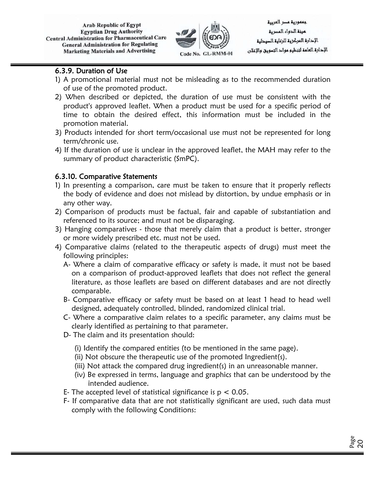

جممورية مسر العربية مينة الدواء المصرية الإدارة المركز وق للرعاوة الصودلية الإحارة العامة لتنظيم مواح التسويق والإعلان

#### 6.3.9. Duration of Use

- 1) A promotional material must not be misleading as to the recommended duration of use of the promoted product.
- 2) When described or depicted, the duration of use must be consistent with the product's approved leaflet. When a product must be used for a specific period of time to obtain the desired effect, this information must be included in the promotion material.
- 3) Products intended for short term/occasional use must not be represented for long term/chronic use.
- 4) If the duration of use is unclear in the approved leaflet, the MAH may refer to the summary of product characteristic (SmPC).

## 6.3.10. Comparative Statements

- 1) In presenting a comparison, care must be taken to ensure that it properly reflects the body of evidence and does not mislead by distortion, by undue emphasis or in any other way.
- 2) Comparison of products must be factual, fair and capable of substantiation and referenced to its source; and must not be disparaging.
- 3) Hanging comparatives those that merely claim that a product is better, stronger or more widely prescribed etc. must not be used.
- 4) Comparative claims (related to the therapeutic aspects of drugs) must meet the following principles:
	- A- Where a claim of comparative efficacy or safety is made, it must not be based on a comparison of product-approved leaflets that does not reflect the general literature, as those leaflets are based on different databases and are not directly comparable.
	- B- Comparative efficacy or safety must be based on at least 1 head to head well designed, adequately controlled, blinded, randomized clinical trial.
	- C- Where a comparative claim relates to a specific parameter, any claims must be clearly identified as pertaining to that parameter.
	- D- The claim and its presentation should:
		- (i) Identify the compared entities (to be mentioned in the same page).
		- (ii) Not obscure the therapeutic use of the promoted Ingredient(s).
		- (iii) Not attack the compared drug ingredient(s) in an unreasonable manner.
		- (iv) Be expressed in terms, language and graphics that can be understood by the intended audience.
	- E- The accepted level of statistical significance is  $p < 0.05$ .
	- F- If comparative data that are not statistically significant are used, such data must comply with the following Conditions: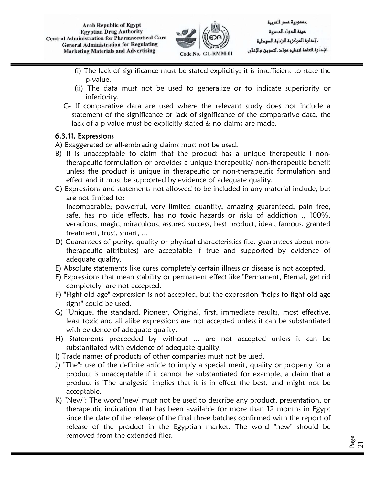

- (i) The lack of significance must be stated explicitly; it is insufficient to state the p-value.
- (ii) The data must not be used to generalize or to indicate superiority or inferiority.
- G- If comparative data are used where the relevant study does not include a statement of the significance or lack of significance of the comparative data, the lack of a p value must be explicitly stated & no claims are made.

## 6.3.11. Expressions

A) Exaggerated or all-embracing claims must not be used.

- B) It is unacceptable to claim that the product has a unique therapeutic I nontherapeutic formulation or provides a unique therapeutic/ non-therapeutic benefit unless the product is unique in therapeutic or non-therapeutic formulation and effect and it must be supported by evidence of adequate quality.
- C) Expressions and statements not allowed to be included in any material include, but are not limited to:

Incomparable; powerful, very limited quantity, amazing guaranteed, pain free, safe, has no side effects, has no toxic hazards or risks of addiction ., 100%, veracious, magic, miraculous, assured success, best product, ideal, famous, granted treatment, trust, smart, ...

- D) Guarantees of purity, quality or physical characteristics (i.e. guarantees about nontherapeutic attributes) are acceptable if true and supported by evidence of adequate quality.
- E) Absolute statements like cures completely certain illness or disease is not accepted.
- F) Expressions that mean stability or permanent effect like "Permanent, Eternal, get rid completely" are not accepted.
- F) "Fight old age" expression is not accepted, but the expression "helps to fight old age signs" could be used.
- G) "Unique, the standard, Pioneer, Original, first, immediate results, most effective, least toxic and all alike expressions are not accepted unless it can be substantiated with evidence of adequate quality.
- H) Statements proceeded by without ... are not accepted unless it can be substantiated with evidence of adequate quality.
- I) Trade names of products of other companies must not be used.
- J) "The": use of the definite article to imply a special merit, quality or property for a product is unacceptable if it cannot be substantiated for example, a claim that a product is 'The analgesic' implies that it is in effect the best, and might not be acceptable.
- K) "New": The word 'new' must not be used to describe any product, presentation, or therapeutic indication that has been available for more than 12 months in Egypt since the date of the release of the final three batches confirmed with the report of release of the product in the Egyptian market. The word "new" should be removed from the extended files.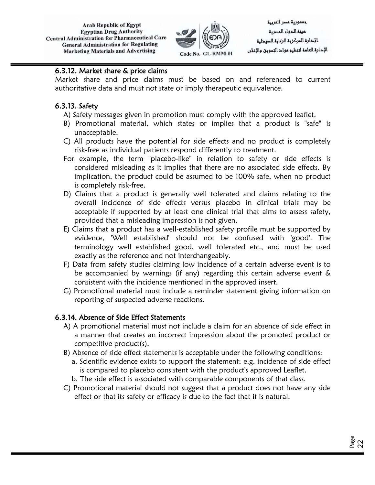

جعمورية عصر العربية لمرنة الدواء المصرية الإدارة المركز وق للرعاوة الصودلية الإحارة العامة لتنظيم مواح التسويق والإعلان

#### 6.3.12. Market share & price claims

Market share and price claims must be based on and referenced to current authoritative data and must not state or imply therapeutic equivalence.

## 6.3.13. Safety

- A) Safety messages given in promotion must comply with the approved leaflet.
- B) Promotional material, which states or implies that a product is "safe" is unacceptable.
- C) All products have the potential for side effects and no product is completely risk-free as individual patients respond differently to treatment.
- For example, the term "placebo-like" in relation to safety or side effects is considered misleading as it implies that there are no associated side effects. By implication, the product could be assumed to be 100% safe, when no product is completely risk-free.
- D) Claims that a product is generally well tolerated and claims relating to the overall incidence of side effects versus placebo in clinical trials may be acceptable if supported by at least one clinical trial that aims to assess safety, provided that a misleading impression is not given.
- E) Claims that a product has a well-established safety profile must be supported by evidence, 'Well established' should not be confused with 'good'. The terminology well established good, well tolerated etc., and must be used exactly as the reference and not interchangeably.
- F) Data from safety studies claiming low incidence of a certain adverse event is to be accompanied by warnings (if any) regarding this certain adverse event & consistent with the incidence mentioned in the approved insert.
- G) Promotional material must include a reminder statement giving information on reporting of suspected adverse reactions.

## 6.3.14. Absence of Side Effect Statements

- A) A promotional material must not include a claim for an absence of side effect in a manner that creates an incorrect impression about the promoted product or competitive product(s).
- B) Absence of side effect statements is acceptable under the following conditions:
	- a. Scientific evidence exists to support the statement; e.g. incidence of side effect is compared to placebo consistent with the product's approved Leaflet.
	- b. The side effect is associated with comparable components of that class.
- C) Promotional material should not suggest that a product does not have any side effect or that its safety or efficacy is due to the fact that it is natural.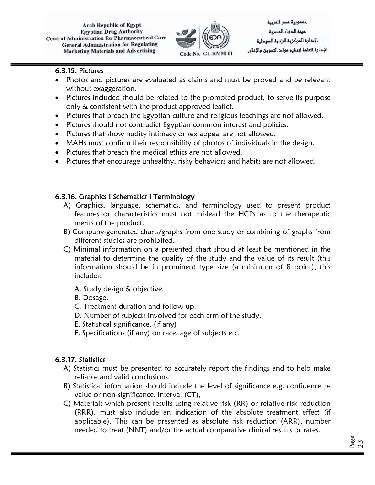

#### 6.3.15. Pictures

- Photos and pictures are evaluated as claims and must be proved and be relevant without exaggeration.
- Pictures included should be related to the promoted product, to serve its purpose only & consistent with the product approved leaflet.
- Pictures that breach the Egyptian culture and religious teachings are not allowed.
- Pictures should not contradict Egyptian common interest and policies.
- Pictures that show nudity intimacy or sex appeal are not allowed.
- MAHs must confirm their responsibility of photos of individuals in the design.
- Pictures that breach the medical ethics are not allowed.
- Pictures that encourage unhealthy, risky behaviors and habits are not allowed.

## 6.3.16. Graphics I Schematics I Terminology

- A) Graphics, language, schematics, and terminology used to present product features or characteristics must not mislead the HCPs as to the therapeutic merits of the product.
- B) Company-generated charts/graphs from one study or combining of graphs from different studies are prohibited.
- C) Minimal information on a presented chart should at least be mentioned in the material to determine the quality of the study and the value of its result (this information should be in prominent type size (a minimum of 8 point), this includes:
	- A. Study design & objective.
	- B. Dosage.
	- C. Treatment duration and follow up.
	- D. Number of subjects involved for each arm of the study.
	- E. Statistical significance. (if any)
	- F. Specifications (if any) on race, age of subjects etc.

## 6.3.17. Statistics

- A) Statistics must be presented to accurately report the findings and to help make reliable and valid conclusions.
- B) Statistical information should include the level of significance e.g. confidence pvalue or non-significance. interval (CT),
- C) Materials which present results using relative risk (RR) or relative risk reduction (RRR), must also include an indication of the absolute treatment effect (if applicable). This can be presented as absolute risk reduction (ARR), number needed to treat (NNT) and/or the actual comparative clinical results or rates.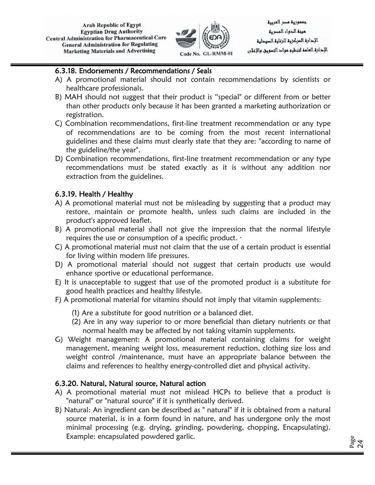

جعمورية عصر العربية مينة الدواء المصرية الإدارة المركز وق للرعاوة الصودلية الإحارة العامة لتنظيم مواح التسويق والإعلان

#### 6.3.18. Endorsements / Recommendations / Seals

- A) A promotional material should not contain recommendations by scientists or healthcare professionals.
- B) MAH should not suggest that their product is "special" or different from or better than other products only because it has been granted a marketing authorization or registration.
- C) Combination recommendations, first-line treatment recommendation or any type of recommendations are to be coming from the most recent international guidelines and these claims must clearly state that they are: "according to name of the guideline/the year".
- D) Combination recommendations, first-line treatment recommendation or any type recommendations must be stated exactly as it is without any addition nor extraction from the guidelines.

#### 6.3.19. Health / Healthy

- A) A promotional material must not be misleading by suggesting that a product may restore, maintain or promote health, unless such claims are included in the product's approved leaflet.
- B) A promotional material shall not give the impression that the normal lifestyle requires the use or consumption of a specific product.  $\cdot$
- C) A promotional material must not claim that the use of a certain product is essential for living within modern life pressures.
- D) A promotional material should not suggest that certain products use would enhance sportive or educational performance.
- E) It is unacceptable to suggest that use of the promoted product is a substitute for good health practices and healthy lifestyle.
- F) A promotional material for vitamins should not imply that vitamin supplements:
	- (1) Are a substitute for good nutrition or a balanced diet.
	- (2) Are in any way superior to or more beneficial than dietary nutrients or that normal health may be affected by not taking vitamin supplements.
- G) Weight management: A promotional material containing claims for weight management, meaning weight loss, measurement reduction, clothing size loss and weight control /maintenance, must have an appropriate balance between the claims and references to healthy energy-controlled diet and physical activity.

## 6.3.20. Natural, Natural source, Natural action

- A) A promotional material must not mislead HCPs to believe that a product is "natural" or "natural source" if it is synthetically derived.
- B) Natural: An ingredient can be described as " natural" if it is obtained from a natural source material, is in a form found in nature, and has undergone only the most minimal processing (e.g. drying, grinding, powdering, chopping, Encapsulating). Example: encapsulated powdered garlic.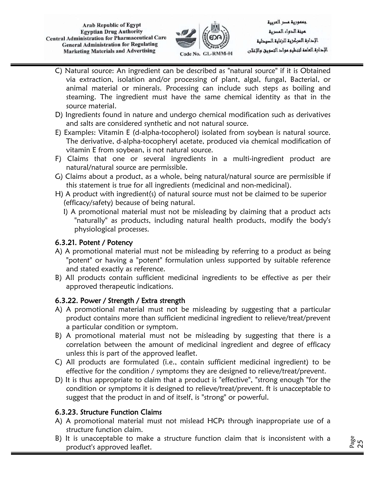

جعمورية عصر العربية مينة الدواء المصرية الإدارة المركز وق للرعاوة الصودلية الإحارة العامة لتنظيم مواح التسويق والإعلان

- C) Natural source: An ingredient can be described as "natural source" if it is Obtained via extraction, isolation and/or processing of plant, algal, fungal, Bacterial, or animal material or minerals. Processing can include such steps as boiling and steaming. The ingredient must have the same chemical identity as that in the source material.
- D) Ingredients found in nature and undergo chemical modification such as derivatives and salts are considered synthetic and not natural source.
- E) Examples: Vitamin E (d-alpha-tocopherol) isolated from soybean is natural source. The derivative, d-alpha-tocopheryl acetate, produced via chemical modification of vitamin E from soybean, is not natural source.
- F) Claims that one or several ingredients in a multi-ingredient product are natural/natural source are permissible.
- G) Claims about a product, as a whole, being natural/natural source are permissible if this statement is true for all ingredients (medicinal and non-medicinal).
- H) A product with ingredient(s) of natural source must not be claimed to be superior (efficacy/safety) because of being natural.
	- I) A promotional material must not be misleading by claiming that a product acts "naturally" as products, including natural health products, modify the body's physiological processes.

## 6.3.21. Potent / Potency

- A) A promotional material must not be misleading by referring to a product as being "potent" or having a "potent" formulation unless supported by suitable reference and stated exactly as reference.
- B) All products contain sufficient medicinal ingredients to be effective as per their approved therapeutic indications.

## 6.3.22. Power / Strength / Extra strength

- A) A promotional material must not be misleading by suggesting that a particular product contains more than sufficient medicinal ingredient to relieve/treat/prevent a particular condition or symptom.
- B) A promotional material must not be misleading by suggesting that there is a correlation between the amount of medicinal ingredient and degree of efficacy unless this is part of the approved leaflet.
- C) All products are formulated (i.e., contain sufficient medicinal ingredient) to be effective for the condition / symptoms they are designed to relieve/treat/prevent.
- D) It is thus appropriate to claim that a product is "effective", "strong enough "for the condition or symptoms it is designed to relieve/treat/prevent. ft is unacceptable to suggest that the product in and of itself, is "strong" or powerful.

## 6.3.23. Structure Function Claims

- A) A promotional material must not mislead HCPs through inappropriate use of a structure function claim.
- B) It is unacceptable to make a structure function claim that is inconsistent with a product's approved leaflet.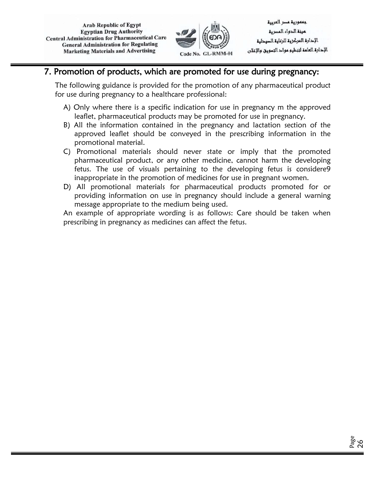

جعمورية عصر العربية لمرنة الدواء المصرية الإدارة المركز وق للرعاوة الصودلية الإحارة العامة لتنظيم مواح التسويق والإعلان

## 7. Promotion of products, which are promoted for use during pregnancy:

The following guidance is provided for the promotion of any pharmaceutical product for use during pregnancy to a healthcare professional:

- A) Only where there is a specific indication for use in pregnancy m the approved leaflet, pharmaceutical products may be promoted for use in pregnancy.
- B) All the information contained in the pregnancy and lactation section of the approved leaflet should be conveyed in the prescribing information in the promotional material.
- C) Promotional materials should never state or imply that the promoted pharmaceutical product, or any other medicine, cannot harm the developing fetus. The use of visuals pertaining to the developing fetus is considere9 inappropriate in the promotion of medicines for use in pregnant women.
- D) All promotional materials for pharmaceutical products promoted for or providing information on use in pregnancy should include a general warning message appropriate to the medium being used.

An example of appropriate wording is as follows: Care should be taken when prescribing in pregnancy as medicines can affect the fetus.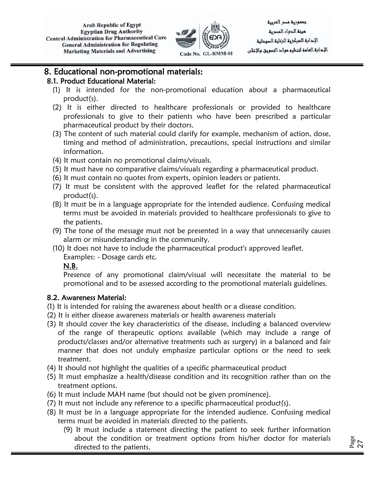

جممورية مسر العربية مينة الدواء المصرية الإدارة المركز وق للرعاوة الصودلية الإحارة العامة لتنظيم مواح التسويق والإعلان

## 8. Educational non-promotional materials:

#### 8.1. Product Educational Material:

- (1) It is intended for the non-promotional education about a pharmaceutical product(s).
- (2) It is either directed to healthcare professionals or provided to healthcare professionals to give to their patients who have been prescribed a particular pharmaceutical product by their doctors.
- (3) The content of such material could clarify for example, mechanism of action, dose, timing and method of administration, precautions, special instructions and similar information.
- (4) It must contain no promotional claims/visuals.
- (5) It must have no comparative claims/visuals regarding a pharmaceutical product.
- (6) It must contain no quotes from experts, opinion leaders or patients.
- (7) It must be consistent with the approved leaflet for the related pharmaceutical product(s).
- (8) It must be in a language appropriate for the intended audience. Confusing medical terms must be avoided in materials provided to healthcare professionals to give to the patients.
- (9) The tone of the message must not be presented in a way that unnecessarily causes alarm or misunderstanding in the community.
- (10) It does not have to include the pharmaceutical product's approved leaflet. Examples: - Dosage cards etc.

#### N.B.

Presence of any promotional claim/visual will necessitate the material to be promotional and to be assessed according to the promotional materials guidelines.

#### 8.2. Awareness Material:

- (1) It is intended for raising the awareness about health or a disease condition.
- (2) It is either disease awareness materials or health awareness materials
- (3) It should cover the key characteristics of the disease, including a balanced overview of the range of therapeutic options available (which may include a range of products/classes and/or alternative treatments such as surgery) in a balanced and fair manner that does not unduly emphasize particular options or the need to seek treatment.
- (4) It should not highlight the qualities of a specific pharmaceutical product
- (5) It must emphasize a health/disease condition and its recognition rather than on the treatment options.
- (6) It must include MAH name (but should not be given prominence).
- (7) It must not include any reference to a specific pharmaceutical product(s).
- (8) It must be in a language appropriate for the intended audience. Confusing medical terms must be avoided in materials directed to the patients.
	- (9) It must include a statement directing the patient to seek further information about the condition or treatment options from his/her doctor for materials directed to the patients.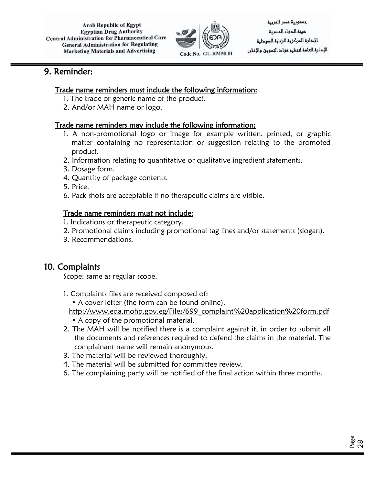

جعمورية عصر العربية لمرنة الدواء المصرية الإدارة المركز وق للرعاوة الصودلية الإدارة العامة لتنظيم مواد التسويق والإغلان

## 9. Reminder:

#### Trade name reminders must include the following information:

- 1. The trade or generic name of the product.
- 2. And/or MAH name or logo.

#### Trade name reminders may include the following information:

- 1. A non-promotional logo or image for example written, printed, or graphic matter containing no representation or suggestion relating to the promoted product.
- 2. Information relating to quantitative or qualitative ingredient statements.
- 3. Dosage form.
- 4. Quantity of package contents.
- 5. Price.
- 6. Pack shots are acceptable if no therapeutic claims are visible.

## Trade name reminders must not include:

- 1. Indications or therapeutic category.
- 2. Promotional claims including promotional tag lines and/or statements (slogan).
- 3. Recommendations.

## 10. Complaints

Scope: same as regular scope.

1. Complaints files are received composed of:

• A cover letter (the form can be found online).

- http://www.eda.mohp.gov.eg/Files/699\_complaint%20application%20form.pdf
- A copy of the promotional material.
- 2. The MAH will be notified there is a complaint against it, in order to submit all the documents and references required to defend the claims in the material. The complainant name will remain anonymous.
- 3. The material will be reviewed thoroughly.
- 4. The material will be submitted for committee review.
- 6. The complaining party will be notified of the final action within three months.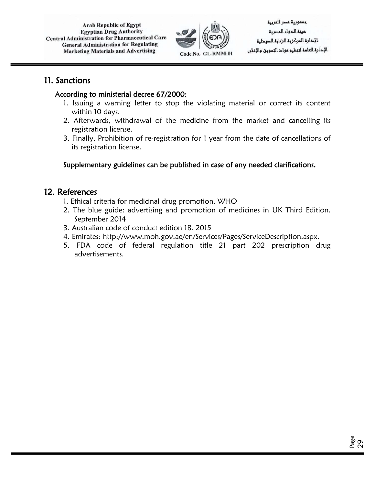

جعمورية عصر العربية مينة الدواء المصرية الإحارة المركزية للرعاية السيدلية الإدارة العامة لتنظيم مواد التسويق والإغلان

## 11. Sanctions

#### According to ministerial decree 67/2000:

- 1. Issuing a warning letter to stop the violating material or correct its content within 10 days.
- 2. Afterwards, withdrawal of the medicine from the market and cancelling its registration license.
- 3. Finally, Prohibition of re-registration for 1 year from the date of cancellations of its registration license.

## Supplementary guidelines can be published in case of any needed clarifications.

## 12. References

- 1. Ethical criteria for medicinal drug promotion. WHO
- 2. The blue guide: advertising and promotion of medicines in UK Third Edition. September 2014
- 3. Australian code of conduct edition 18. 2015
- 4. Emirates: http://www.moh.gov.ae/en/Services/Pages/ServiceDescription.aspx.
- 5. FDA code of federal regulation title 21 part 202 prescription drug advertisements.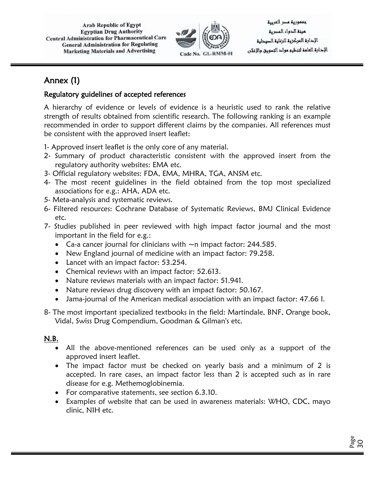

جعمورية عصر العربية مينة الدواء المصرية الإدارة المركز وق للرعاوة الصودلية الإحارة العامة لتنظيم مواح التسويق والإعلان

## Annex (1)

## Regulatory guidelines of accepted references

A hierarchy of evidence or levels of evidence is a heuristic used to rank the relative strength of results obtained from scientific research. The following ranking is an example recommended in order to support different claims by the companies. All references must be consistent with the approved insert leaflet:

- 1- Approved insert leaflet is the only core of any material.
- 2- Summary of product characteristic consistent with the approved insert from the regulatory authority websites: EMA etc.
- 3- Official regulatory websites: FDA, EMA, MHRA, TGA, ANSM etc.
- 4- The most recent guidelines in the field obtained from the top most specialized associations for e.g.: AHA, ADA etc.
- 5- Meta-analysis and systematic reviews.
- 6- Filtered resources: Cochrane Database of Systematic Reviews, BMJ Clinical Evidence etc.
- 7- Studies published in peer reviewed with high impact factor journal and the most important in the field for e.g.:
	- Ca-a cancer journal for clinicians with  $\sim$ n impact factor: 244.585.
	- New England journal of medicine with an impact factor: 79.258.
	- Lancet with an impact factor: 53.254.
	- Chemical reviews with an impact factor: 52.613.
	- Nature reviews materials with an impact factor: 51.941.
	- Nature reviews drug discovery with an impact factor: 50.167.
	- Jama-journal of the American medical association with an impact factor: 47.66 I.
- 8- The most important specialized textbooks in the field: Martindale, BNF, Orange book, Vidal, Swiss Drug Compendium, Goodman & Gilman's etc.

## N.B.

- All the above-mentioned references can be used only as a support of the approved insert leaflet.
- The impact factor must be checked on yearly basis and a minimum of 2 is accepted. In rare cases, an impact factor less than 2 is accepted such as in rare disease for e.g. Methemoglobinemia.
- For comparative statements, see section 6.3.10.
- Examples of website that can be used in awareness materials: WHO, CDC, mayo clinic, NIH etc.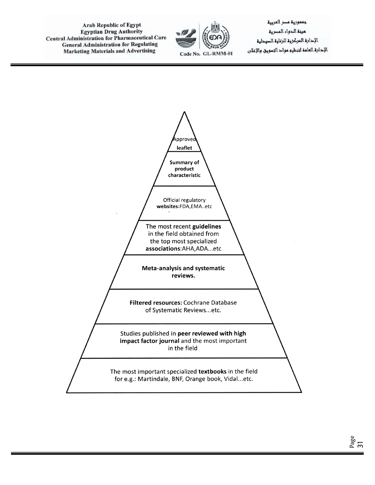

جممورية مسر العربية مينة الدواء المصرية الإحارة المركزية للرعاية الصيحلية الإحارة العامة لتنظيم مواح التسويق والإعلان

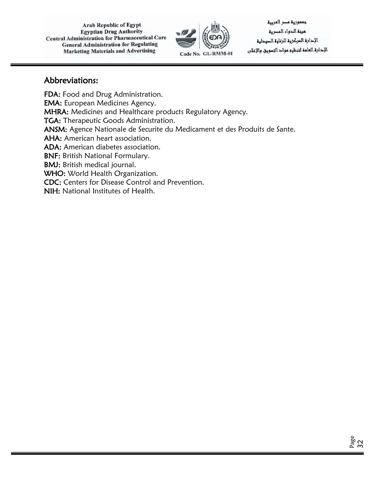

جممورية مسر العربية عينة الدواء المصرية الإحارة المركزية للرعاية السيدلية الإحارة العامة لتنظيم مواح التسويق والإعلان

## Abbreviations:

FDA: Food and Drug Administration. EMA: European Medicines Agency. MHRA: Medicines and Healthcare products Regulatory Agency. TGA: Therapeutic Goods Administration. ANSM: Agence Nationale de Securite du Medicament et des Produits de Sante. AHA: American heart association. ADA: American diabetes association. BNF: British National Formulary. BMJ: British medical journal. WHO: World Health Organization. CDC: Centers for Disease Control and Prevention. NIH: National Institutes of Health.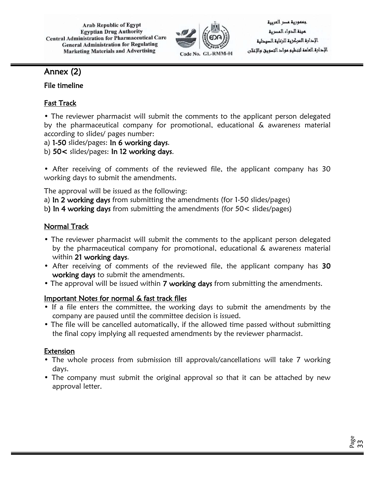

جعمورية عصر العربية لمرنة الدواء المصرية الإدارة المركز وق للرعاوة الصودلية الإحارة العامة لتنظيم مواح التسويق والإعلان

## Annex (2)

## File timeline

## Fast Track

• The reviewer pharmacist will submit the comments to the applicant person delegated by the pharmaceutical company for promotional, educational & awareness material according to slides/ pages number:

a) 1-50 slides/pages: In 6 working days.

b) 50< slides/pages: In 12 working days.

• After receiving of comments of the reviewed file, the applicant company has 30 working days to submit the amendments.

The approval will be issued as the following:

a) In 2 working days from submitting the amendments (for 1-50 slides/pages)

b) In 4 working days from submitting the amendments (for 50< slides/pages)

## Normal Track

- The reviewer pharmacist will submit the comments to the applicant person delegated by the pharmaceutical company for promotional, educational & awareness material within 21 working days.
- After receiving of comments of the reviewed file, the applicant company has 30 working days to submit the amendments.
- The approval will be issued within 7 working days from submitting the amendments.

## Important Notes for normal & fast track files

- If a file enters the committee, the working days to submit the amendments by the company are paused until the committee decision is issued.
- The file will be cancelled automatically, if the allowed time passed without submitting the final copy implying all requested amendments by the reviewer pharmacist.

## **Extension**

- The whole process from submission till approvals/cancellations will take 7 working days.
- The company must submit the original approval so that it can be attached by new approval letter.